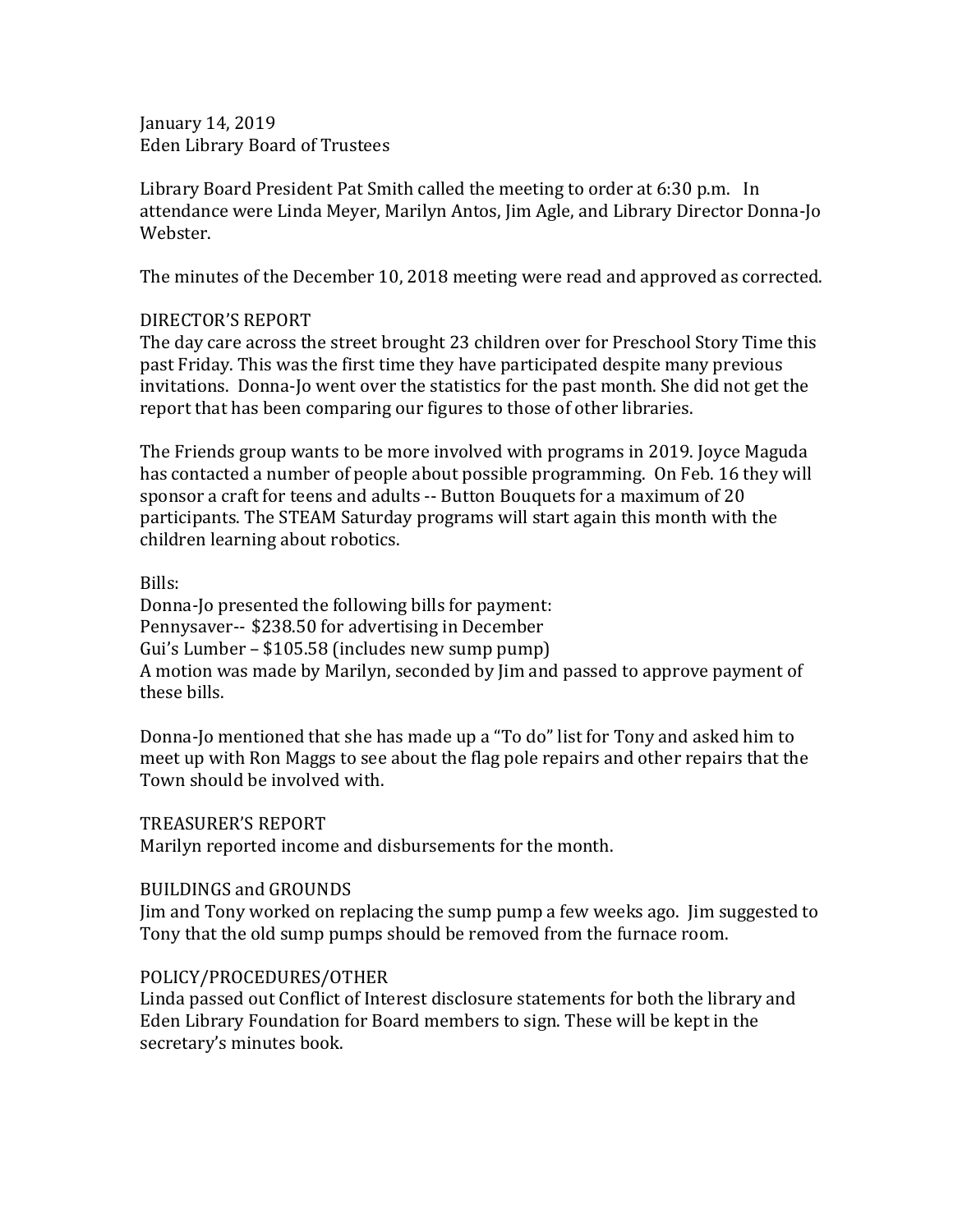January 14, 2019 Eden Library Board of Trustees

Library Board President Pat Smith called the meeting to order at 6:30 p.m. In attendance were Linda Meyer, Marilyn Antos, Jim Agle, and Library Director Donna-Jo Webster.

The minutes of the December 10, 2018 meeting were read and approved as corrected.

## DIRECTOR'S REPORT

The day care across the street brought 23 children over for Preschool Story Time this past Friday. This was the first time they have participated despite many previous invitations. Donna-Jo went over the statistics for the past month. She did not get the report that has been comparing our figures to those of other libraries.

The Friends group wants to be more involved with programs in 2019. Joyce Maguda has contacted a number of people about possible programming. On Feb. 16 they will sponsor a craft for teens and adults -- Button Bouquets for a maximum of 20 participants. The STEAM Saturday programs will start again this month with the children learning about robotics.

Bills:

Donna-Jo presented the following bills for payment: Pennysaver-- \$238.50 for advertising in December Gui's Lumber – \$105.58 (includes new sump pump) A motion was made by Marilyn, seconded by Jim and passed to approve payment of these bills.

Donna-Jo mentioned that she has made up a "To do" list for Tony and asked him to meet up with Ron Maggs to see about the flag pole repairs and other repairs that the Town should be involved with.

TREASURER'S REPORT

Marilyn reported income and disbursements for the month.

## BUILDINGS and GROUNDS

Jim and Tony worked on replacing the sump pump a few weeks ago. Jim suggested to Tony that the old sump pumps should be removed from the furnace room.

## POLICY/PROCEDURES/OTHER

Linda passed out Conflict of Interest disclosure statements for both the library and Eden Library Foundation for Board members to sign. These will be kept in the secretary's minutes book.